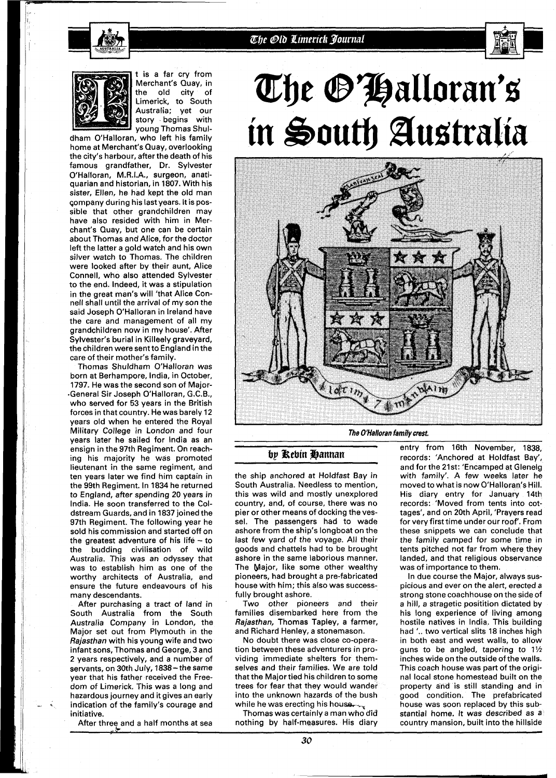

### The Old Limerick Journal



t is a far cry from Merchant's Quay, in the old city of Limerick, to South Australia; yet our story begins with young Thomas Shul-

dham O'Halloran, who left his family home at Merchant's Quay, overlooking the city's harbour, after the death of his famous grandfather, Dr. Sylvester O'Halloran, M.R.I.A., surgeon, anatiquarian and historian, in 1807. With his sister, Ellen, he had kept the old man qompany during his last years. It is possible that other grandchildren may have also resided with him in Merchant's Quay, but one can be certain about Thomas and Alice, for the doctor left the latter a gold watch and his own silver watch to Thomas. The children were looked after by their aunt, Alice Connell, who also attended Sylvester to the end. Indeed, it was a stipulation in the great man's will 'that Alice Connell shall until the arrival of my son the said Joseph O'Halloran in Ireland have the care and management of all my grandchildren now in my house'. After Sylvester's burial in Killeely graveyard, the children were sent to England in the care of their mother's family.

Thomas Shuldham O'Halloran was born at Berhampore, India, in October, 1797. He was the second son of Major- -General Sir Joseph O'Halloran, G.C.B., who served for 53 years in the British forces in that country. He was barely 12 years old when he entered the Royal Military College in London and four years later he sailed for India as an ensign in the 97th Regiment. On reaching his majority he was promoted lieutenant in the same regiment, and ten years later we find him captain in the 99th Regiment. In 1834 he returned to England, after spending 20 years in India. He soon transferred to the Coldstream Guards, and in 1837 joined the 97th Regiment. The following year he sold his commission and started off on the greatest adventure of his life  $-$  to the budding civilisation of wild Australia. This was an odyssey that was to establish him as one of the worthy architects of Australia, and ensure the future endeavours of his many descendants.

After purchasing a tract of land in South Australia from the South Australia Company in London, the Major set out from Plymouth in the Rajasthan with his young wife and two infant sons, Thomas and George, 3 and 2 years respectively, and a number of servants, on 30th July, 1838- the same year that his father received the Freedom of Limerick. This was a long and hazardous journey and it gives an early indication of the family's courage and initiative.

After three and a half months at sea

# The O'Halloran's in South Australia



**The O'Halloran family** *crest.* 

#### by Rebin Hannan

the ship anchored at Holdfast Bay in South Australia. Needless to mention, this was wild and mostly unexplored country, and, of course, there was no pier or other means of docking the vessel. The passengers had to wade ashore from the ship's longboat on the last few yard of the voyage. All their goods and chattels had to be brought ashore in the same laborious manner. The Major, like some other wealthy pioneers, had brought a pre-fabricated house with him; this also was successfully brought ashore.

Two other pioneers and their families disembarked here from the Rajasthan, Thomas Tapley, a farmer, and Richard Henley, a stonemason.

No doubt there was close co-operation between these adventurers in providing immediate shelters for themselves and their families. We are told that the Major tied his children to some trees for fear that they would wander into the unknown hazards of the bush while he was erecting his house.

Thomas was certainly a man who did nothing by half-measures. His diary

entry from 16th November, 1838, records: 'Anchored at Holdfast Bay', and for the 21st: 'Encamped at Glenelg with family'. A few weeks later he moved to what is now O'Halloran's Hill. His diary entry for January 14th records: 'Moved from tents into cottages', and on 20th April, 'Prayers read for very first time under our roof'. Ftom these snippets we can conclude that the family camped for some time in tents pitched not far from where they landed, and that religious observance was of importance to them.

In due course the Major, always suspicious and ever on the alert, erected a strong stone coachhouse on the side of a hill, a stragetic positition dictated by his long experience of living among hostile natives in India. This building had **l..** two vertical slits 18 inches high in both east and west walls, to allow guns to be angled, tapering to 1% inches wide on the outside of the walls. This coach house was part of the original local stone homestead built on the property and is still standing and in good condition. The prefabricated house was soon replaced by this substantial home. It was described as a country mansion, built into the hillside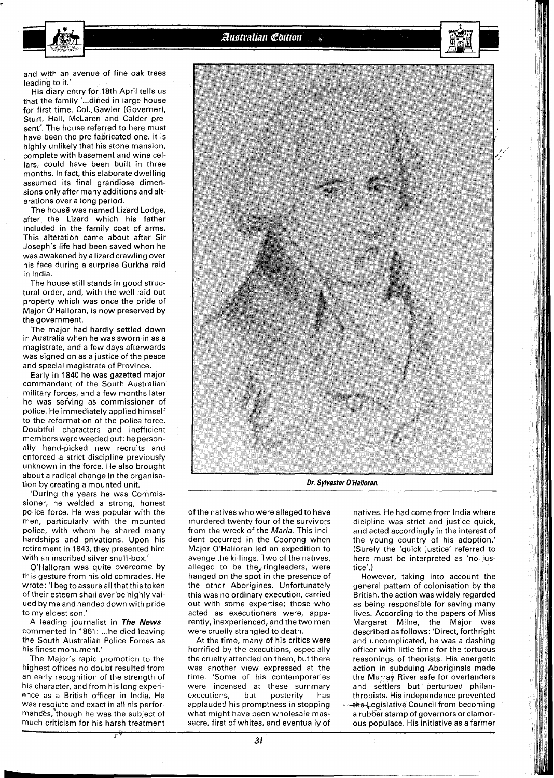and with an avenue of fine oak trees leading to it.'

His diary entry for 18th April tells us that the family '...dined in large house for first time. Col. Gawler (Governer), Sturt, Hall, McLaren and Calder present<sup>"</sup>. The house referred to here must have been the pre-fabricated one. It is highly unlikely that his stone mansion, complete with basement and wine cellars, could have been built in three months. In fact, this elaborate dwelling assumed its final grandiose dimensions only after many additions and alterations over a long period.

The house was named Lizard Lodge, after the Lizard which his father included in the family coat of arms, This alteration came about after Sir Joseph's life had been saved when he was awakened by a lizard crawling over his face during a surprise Gurkha raid in India.

The house still stands in good structural order, and, with the well laid out property which was once the pride of Major O'Halloran, is now preserved by the government.

The major had hardly settled down in Australia when he was sworn in as a magistrate, and a few days afterwards was signed on as a justice of the peace and special magistrate of Province.

Early in 1840 he was gazetted major commandant of the South Australian military forces, and a few months later he was serving as commissioner of police. He immediately applied himself to the reformation of the police force. Doubtful characters and inefficient members were weeded out: he personally hand-picked new recruits and enforced a strict discipline previously unknown in the force. He also brought about a radical change in the organisation by creating a mounted unit.

'During the years he was Commissioner, he welded a strong, honest police force. He was popular with the men, particularly with the mounted police, with whom he shared many hardships and privations. Upon his retirement in 1843, they presented him with an inscribed silver snuff-box.'

O'Halloran was quite overcome by this gesture from his old comrades. He wrote: 'I beg to assure all that this token of their esteem shall ever be highly valued by me and handed down with pride to my eldest son.'

A leading journalist in **The News**  commented in 1861: ... he died leaving the South Australian Police Forces as his finest monument.'

The Major's rapid promotion to the highest offices no doubt resulted from an early recognition of the strength of his character, and from his long experience as a British officer in India. He was resoJute and exact in all his performances, though he was the subject of much criticism for his harsh treatment



**Dr. Sylvester O'Halloran.** 

of the natives who were alleged to have murdered twenty-four of the survivors from the wreck of the **Maria.** This incident occurred in the Coorong when Major O'Halloran led an expedition to avenge the killings. Two of the natives, alleged to be the ringleaders, were hanged on the spot in the presence of the other Aborigines. Unfortunately this was no ordinary execution, carried out with some expertise; those who acted as executioners were, apparently, inexperienced, and the two men were cruelly strangled to death.

At the time, many of his critics were horrified by the executions, especially the cruelty attended on them, but there was another view expressed at the time. 'Some of his contemporaries were incensed at these summary executions, but posterity has applauded his promptness in stopping what might have been wholesale massacre, first of whites, and eventualiy of natives. He had come from India where dicipline was strict and justice quick, and acted accordingly in the interest of the young country of his adoption.' (Surely the 'quick justice' referred to here must be interpreted as 'no justice'.)

However, taking into account the general pattern of colonisation by the British, the action was widely regarded as being responsible for saving many lives. According to the papers of Miss Margaret Milne, the Major was described as follows: 'Direct, forthright and uncomplicated, he was a dashing officer with little time for the tortuous reasonings of theorists. His energetic action in subduing Aboriginals made the Murray River safe for overlanders and settlers but perturbed philanthropists. His independence prevented **\*he Legislative Council from becoming** a rubber stamp of governors or clamorous populace. His initiative as a farmer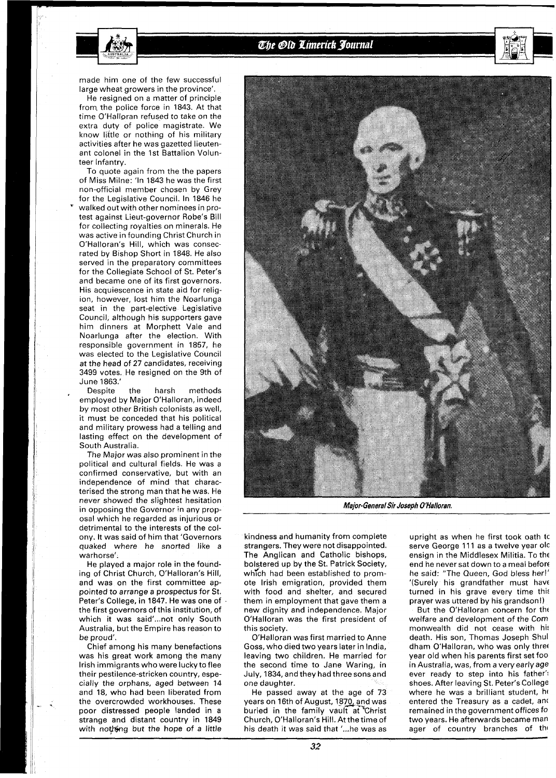

#### The Old Limerick Journal

made him one of the few successful large wheat growers in the province'.

He resigned on a matter of principle from the police force in 1843. At that time O'Halloran refused to take on the extra duty of police magistrate. We know little or nothing of his military activities after he was gazetted lieutenant colonel in the 1st Battalion Volunteer Infantry.

To quote again from the the papers of Miss Milne: 'In 1843 he was the first non-official member chosen by Grey<br>for the Legislative Council. In 1846 he walked out with other nominees in protest against Lieut-governor Robe's Bill for collecting royalties on minerals. He was active in founding Christ Church in O'Halloran's Hill, which was consecrated by Bishop Short in 1848. He also served in the preparatory committees for the Collegiate School of St. Peter's and became one of its first governors. His acquiescence in state aid for religion, however, lost him the Noarlunga seat in the part-elective Legislative Council, although his supporters gave him dinners at Morphett Vale and Noarlunga after the election. With responsible government in 1857, he was elected to the Legislative Council at the head of 27 candidates, receiving 3499 votes. He resigned on the 9th of June 1863.'

Despite the harsh methods employed by Major O'Halloran, indeed by most other British colonists as well, it must be conceded that his political and military prowess had a telling and lasting effect on the development of South Australia.

The Major was also prominent in the political and cultural fields. He was a confirmed conservative, but with an independence of mind that characterised the strong man that he was. He never showed the slightest hesitation in opposing the Governor in any proposal which he regarded as injurious or detrimental to the interests of the colony. It was said of him that 'Governors quaked where he snorted like a warhorse'.

He played a major role in the founding of Christ Church, O'Halloran's Hill, and was on the first committee appointed to arrange a prospectus for St. Peter's College, in 1847. He was one of the first governors of this institution, of which it was said'...not only South Australia, but the Empire has reason to be proud'.

Chief among his many benefactions was his great work among the many lrish immigrants who were lucky to flee their pestilence-stricken country, especially the orphans, aged between 74 and 18, who had been liberated from the overcrowded workhouses. These poor distressed people landed in a strange and distant country in 1849 with nothing but the hope of a little



**Major-GeneralSir Joseph O'Halloran.** 

kindness and humanity from complete strangers. They were not disappointed. The Anglican and Catholic bishops, bolstered up by the St. Patrick Society, which had been established to promote lrish emigration, provided them with food and shelter, and secured them in employment that gave them a new dignity and independence. Major O'Halloran was the first president of this society.

O'Halloran was first married to Anne Goss, who died two years later in India, leaving two children. He married for the second time to Jane Waring, in July, 1834, and they had three sons and one daughter.

He passed away at the age of 73 years on 16th of August, 1870, and was<br>buried in the family vault at Christ Church, O'Halloran's Hill. At the time of his death it was said that '...he was as

upright as when he first took oath tc serve George 111 as a twelve year old ensign in the Middlesex Militia. To the end he never sat down to a meal before he said: "The Queen, God bless her!' '(Surely his grandfather must have turned in his grave every time this prayer was uttered by his grandson!)

But the O'Halloran concern for tht welfare and development of the Com monwealth did not cease with hi! death. His son, Thomas Joseph Shul dham O'Halloran, who was only thret year old when his parents first set foo in Australia, was, from a very early age ever ready to step into his father': shoes. After leaving St. Peter's College where he was a brilliant student, he entered the Treasury as a cadet, and remained in the government offices fo two years. He afterwards became man ager of country branches of the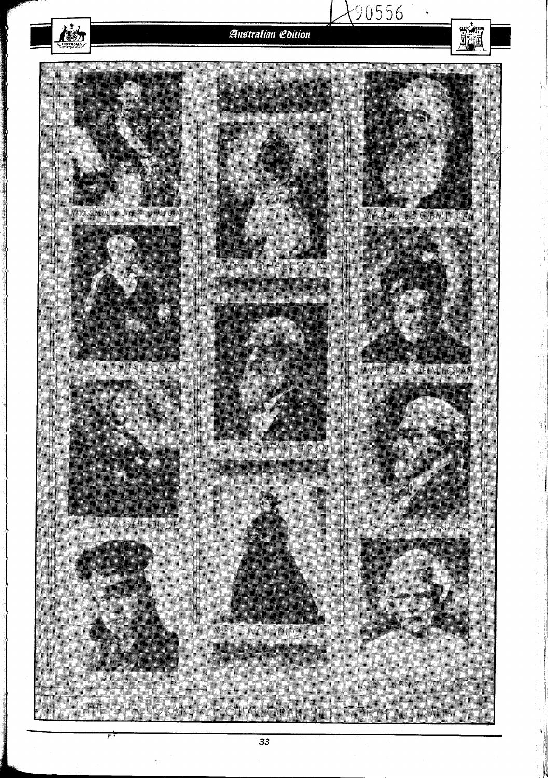## **Australian Edition**

 $(90556$ 



33